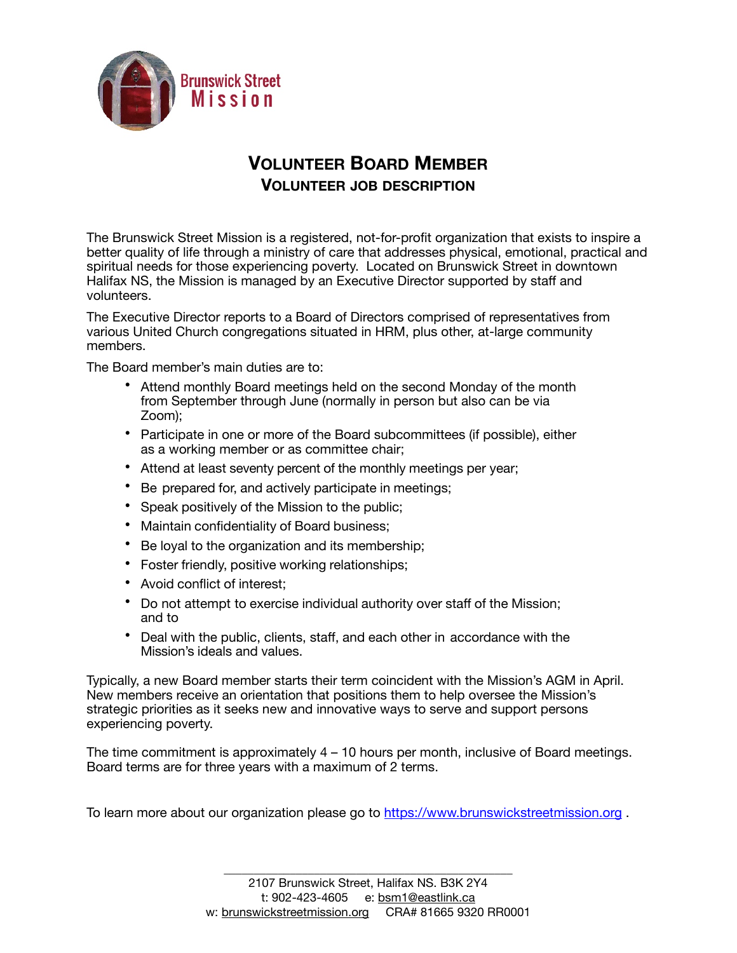

## **VOLUNTEER BOARD MEMBER VOLUNTEER JOB DESCRIPTION**

The Brunswick Street Mission is a registered, not-for-profit organization that exists to inspire a better quality of life through a ministry of care that addresses physical, emotional, practical and spiritual needs for those experiencing poverty. Located on Brunswick Street in downtown Halifax NS, the Mission is managed by an Executive Director supported by staff and volunteers.

The Executive Director reports to a Board of Directors comprised of representatives from various United Church congregations situated in HRM, plus other, at-large community members.

The Board member's main duties are to:

- Attend monthly Board meetings held on the second Monday of the month from September through June (normally in person but also can be via Zoom);
- Participate in one or more of the Board subcommittees (if possible), either as a working member or as committee chair;
- Attend at least seventy percent of the monthly meetings per year;
- Be prepared for, and actively participate in meetings;
- Speak positively of the Mission to the public;
- Maintain confidentiality of Board business;
- Be loyal to the organization and its membership;
- Foster friendly, positive working relationships;
- Avoid conflict of interest;
- Do not attempt to exercise individual authority over staff of the Mission; and to
- Deal with the public, clients, staff, and each other in accordance with the Mission's ideals and values.

Typically, a new Board member starts their term coincident with the Mission's AGM in April. New members receive an orientation that positions them to help oversee the Mission's strategic priorities as it seeks new and innovative ways to serve and support persons experiencing poverty.

The time commitment is approximately 4 – 10 hours per month, inclusive of Board meetings. Board terms are for three years with a maximum of 2 terms.

To learn more about our organization please go to<https://www.brunswickstreetmission.org>.

\_\_\_\_\_\_\_\_\_\_\_\_\_\_\_\_\_\_\_\_\_\_\_\_\_\_\_\_\_\_\_\_\_\_\_\_\_\_\_\_\_\_\_\_\_\_\_\_